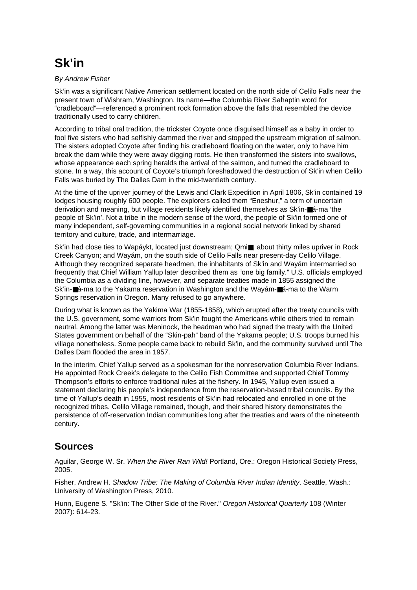## **Sk'in**

## By Andrew Fisher

Sk'in was a significant Native American settlement located on the north side of Celilo Falls near the present town of Wishram, Washington. Its name—the Columbia River Sahaptin word for "cradleboard"—referenced a prominent rock formation above the falls that resembled the device traditionally used to carry children.

According to tribal oral tradition, the trickster Coyote once disguised himself as a baby in order to fool five sisters who had selfishly dammed the river and stopped the upstream migration of salmon. The sisters adopted Coyote after finding his cradleboard floating on the water, only to have him break the dam while they were away digging roots. He then transformed the sisters into swallows, whose appearance each spring heralds the arrival of the salmon, and turned the cradleboard to stone. In a way, this account of Coyote's triumph foreshadowed the destruction of Sk'in when Celilo Falls was buried by The Dalles Dam in the mid-twentieth century.

At the time of the upriver journey of the Lewis and Clark Expedition in April 1806, Sk'in contained 19 lodges housing roughly 600 people. The explorers called them "Eneshur," a term of uncertain derivation and meaning, but village residents likely identified themselves as Sk'in-■á-ma 'the people of Sk'in'. Not a tribe in the modern sense of the word, the people of Sk'in formed one of many independent, self-governing communities in a regional social network linked by shared territory and culture, trade, and intermarriage.

Sk'in had close ties to Wapáykt, located just downstream; Qmi■, about thirty miles upriver in Rock Creek Canyon; and Wayám, on the south side of Celilo Falls near present-day Celilo Village. Although they recognized separate headmen, the inhabitants of Sk'in and Wayám intermarried so frequently that Chief William Yallup later described them as "one big family." U.S. officials employed the Columbia as a dividing line, however, and separate treaties made in 1855 assigned the Sk'in-■á-ma to the Yakama reservation in Washington and the Wayám-■á-ma to the Warm Springs reservation in Oregon. Many refused to go anywhere.

During what is known as the Yakima War (1855-1858), which erupted after the treaty councils with the U.S. government, some warriors from Sk'in fought the Americans while others tried to remain neutral. Among the latter was Meninock, the headman who had signed the treaty with the United States government on behalf of the "Skin-pah" band of the Yakama people; U.S. troops burned his village nonetheless. Some people came back to rebuild Sk'in, and the community survived until The Dalles Dam flooded the area in 1957.

In the interim, Chief Yallup served as a spokesman for the nonreservation Columbia River Indians. He appointed Rock Creek's delegate to the Celilo Fish Committee and supported Chief Tommy Thompson's efforts to enforce traditional rules at the fishery. In 1945, Yallup even issued a statement declaring his people's independence from the reservation-based tribal councils. By the time of Yallup's death in 1955, most residents of Sk'in had relocated and enrolled in one of the recognized tribes. Celilo Village remained, though, and their shared history demonstrates the persistence of off-reservation Indian communities long after the treaties and wars of the nineteenth century.

## **Sources**

Aguilar, George W. Sr. When the River Ran Wild! Portland, Ore.: Oregon Historical Society Press, 2005.

Fisher, Andrew H. Shadow Tribe: The Making of Columbia River Indian Identity. Seattle, Wash.: University of Washington Press, 2010.

Hunn, Eugene S. "Sk'in: The Other Side of the River." Oregon Historical Quarterly 108 (Winter 2007): 614-23.